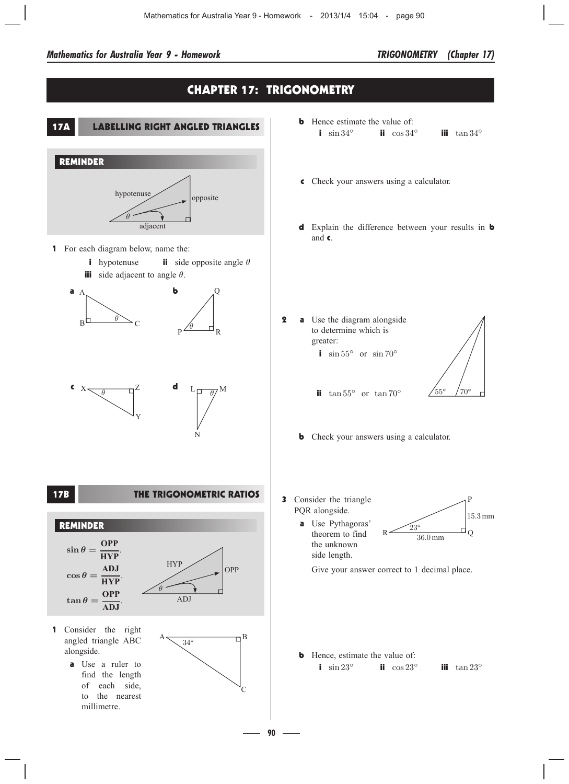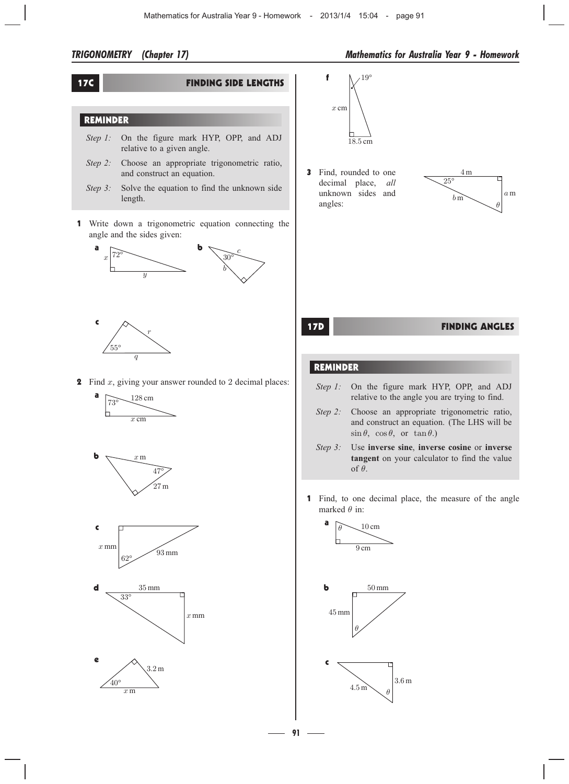## 17C FINDING SIDE LENGTHS

# REMINDER

- *Step 1:* On the figure mark HYP, OPP, and ADJ relative to a given angle.
- *Step 2:* Choose an appropriate trigonometric ratio, and construct an equation.
- *Step 3:* Solve the equation to find the unknown side length.
- 1 Write down a trigonometric equation connecting the angle and the sides given:





**2** Find  $x$ , giving your answer rounded to 2 decimal places:













3 Find, rounded to one decimal place, *all* unknown sides and angles:



# 17D FINDING ANGLES

### REMINDER

- *Step 1:* On the figure mark HYP, OPP, and ADJ relative to the angle you are trying to find.
- *Step 2:* Choose an appropriate trigonometric ratio, and construct an equation. (The LHS will be  $\sin \theta$ ,  $\cos \theta$ , or  $\tan \theta$ .)
- *Step 3:* Use **inverse sine**, **inverse cosine** or **inverse tangent** on your calculator to find the value of  $\theta$ .
- 1 Find, to one decimal place, the measure of the angle marked  $\theta$  in:



**91**1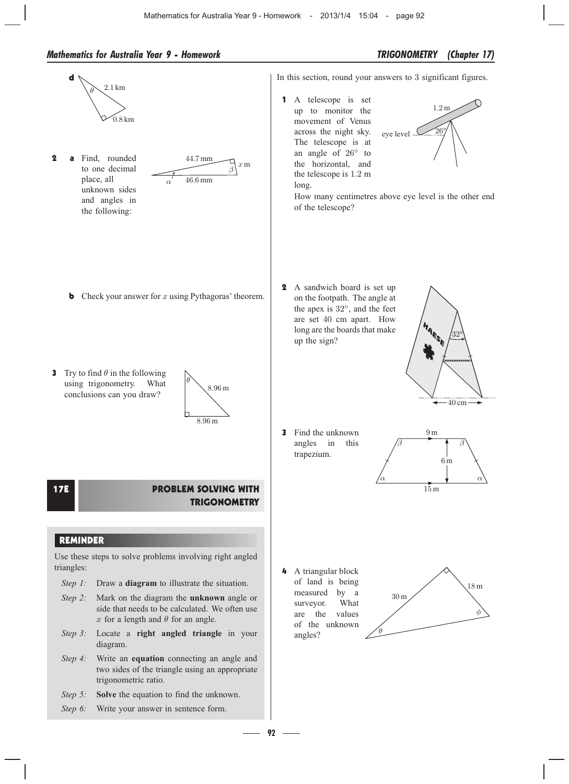

**92** –